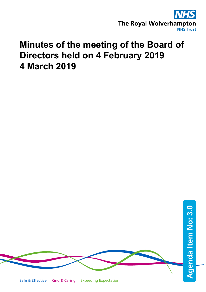

# **Minutes of the meeting of the Board of Directors held on 4 February 2019 4 March 2019**



Safe & Effective | Kind & Caring | Exceeding Expectation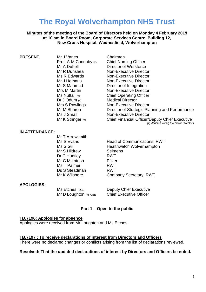## **The Royal Wolverhampton NHS Trust**

#### **Minutes of the meeting of the Board of Directors held on Monday 4 February 2019 at 10 am in Board Room, Corporate Services Centre, Building 12, New Cross Hospital, Wednesfield, Wolverhampton**

Prof. A-M Cannaby (v) Dr J Odum (v) Medical Director

**PRESENT:** Mr J Vanes Chairman<br>Prof. A-M Cannaby (v) Chief Nursing Officer Mr A Duffell **Director of Workforce** Mr R Dunshea Non-Executive Director Ms R Edwards Non-Executive Director Mr J Hemans Non-Executive Director Mr S Mahmud Director of Integration Mrs M Martin Non-Executive Director Ms Nuttall (v) Chief Operating Officer Mrs S Rawlings Non-Executive Director Mr M Sharon **Director of Strategic Planning and Performance** Ms J Small Non-Executive Director Mr K Stringer (v) Chief Financial Officer/Deputy Chief Executive *(v) denotes voting Executive Directors.*

#### **IN ATTENDANCE:**

Mr T Arrowsmith Mr S Hildrew Seimens Dr C Huntley RWT Mr C McIntosh Pfizer Ms T Palmer RWT Ds S Steadman RWT

Ms S Evans **Head of Communications, RWT** Ms S Gill **Healthwatch Wolverhampton** Mr K Wilshere **Company Secretary, RWT** 

#### **APOLOGIES:**

Ms Etches OBE Deputy Chief Executive Mr D Loughton (v) CBE Chief Executive Officer

#### **Part 1 – Open to the public**

#### **TB.7196: Apologies for absence**

Apologies were received from Mr Loughton and Ms Etches.

#### **TB.7197 : To receive declarations of interest from Directors and Officers**

There were no declared changes or conflicts arising from the list of declarations reviewed.

#### **Resolved: That the updated declarations of interest by Directors and Officers be noted.**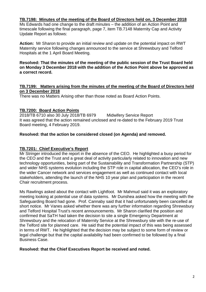#### **TB.7198: Minutes of the meeting of the Board of Directors held on, 3 December 2018**

Ms Edwards had one change to the draft minutes – the addition of an Action Point and timescale following the final paragraph, page 7, item TB.7148 Maternity Cap and Activity Update Report as follows:

**Action:** Mr Sharon to provide an initial review and update on the potential impact on RWT Maternity service following changes announced to the service at Shrewsbury and Telford Hospitals at the 1 April Board Meeting.

#### **Resolved: That the minutes of the meeting of the public session of the Trust Board held on Monday 3 December 2018 with the addition of the Action Point above be approved as a correct record.**

#### **TB.7199: Matters arising from the minutes of the meeting of the Board of Directors held on 3 December 2018**

There was no Matters Arising other than those noted as Board Action Points.

#### **TB.7200: Board Action Points**

2018/TB 6710 also 30 July 2018/TB 6979 Midwifery Service Report It was agreed that the action remained unclosed and re-dated to the February 2019 Trust Board meeting, 4 February 2019.

#### **Resolved: that the action be considered closed (on Agenda) and removed.**

#### **TB.7201: Chief Executive's Report**

Mr Stringer introduced the report in the absence of the CEO. He highlighted a busy period for the CEO and the Trust and a great deal of activity particularly related to innovation and new technology opportunities, being part of the Sustainability and Transformation Partnership (STP) and wider NHS systems evolution including the STP role in capital allocation, the CEO's role in the wider Cancer network and services engagement as well as continued contact with local stakeholders, attending the launch of the NHS 10 year plan and participation in the recent Chair recruitment process.

Ms Rawlings asked about the contact with Lightfoot. Mr Mahmud said it was an exploratory meeting looking at potential use of data systems. Mr Dunshea asked how the meeting with the Safeguarding Board had gone. Prof. Cannaby said that it had unfortunately been cancelled at short notice. Mr Vanes asked whether there was any further information regarding Shrewsbury and Telford Hospital Trust's recent announcements. Mr Sharon clarified the position and confirmed that SaTH had taken the decision to site a single Emergency Department at Shrewsbury and the relocation of Maternity Service at the Shrewsbury site with the re-use of the Telford site for planned care. He said that the potential impact of this was being assessed in terms of RWT. He highlighted that the decision may be subject to some form of review or legal challenge but that the capital availability had been confirmed to be followed by a final Business Case.

#### **Resolved: that the Chief Executives Report be received and noted.**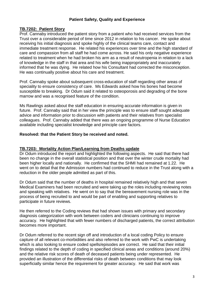#### **Patient Safety, Quality and Experience**

#### **TB.7202: Patient Story**

Prof. Cannaby introduced the patient story from a patient who had received services from the Trust over a considerable period of time since 2012 in relation to his cancer. He spoke about receiving his initial diagnosis and spoke highly of the clinical teams care, contact and immediate treatment response. He related his experiences over time and the high standard of care and compassion from all staff he had come across. He said his only negative experience related to treatment when he had broken his arm as a result of neutropenia in relation to a lack of knowledge in the staff in that area and his wife being inappropriately and inaccurately informed that he was dying. He related how his Consultant had corrected the misconception. He was continually positive about his care and treatment.

Prof. Cannaby spoke about subsequent cross-education of staff regarding other areas of speciality to ensure consistency of care. Ms Edwards asked how his bones had become susceptible to breaking. Dr Odum said it related to osteoporosis and degrading of the bone marrow and was a recognised feature of the condition.

Ms Rawlings asked about the staff education in ensuring accurate information is given in future. Prof. Cannaby said that in her view the principle was to ensure staff sought adequate advice and information prior to discussion with patients and their relatives from specialist colleagues. Prof. Cannaby added that there was an ongoing programme of Nurse Education available including specialist knowledge and principle care factors.

#### **Resolved: that the Patient Story be received and noted.**

#### **TB.7203: Mortality Action Plan/Learning from Deaths update**

Dr Odum introduced the report and highlighted the following aspects. He said that there had been no change in the overall statistical position and that over the winter crude mortality had been higher locally and nationally. He confirmed that the SHMI had remained at 1.22. He went on to detail that the Admission numbers had continued to reduce in the Trust along with a reduction in the older people admitted as part of this.

Dr Odum said that the number of deaths in hospital remained relatively high and that seven Medical Examiners had been recruited and were taking up the roles including reviewing notes and speaking with relatives. He went on to say that the bereavement nursing role was in the process of being recruited to and would be part of enabling and supporting relatives to participate in future reviews.

He then referred to the Coding reviews that had shown issues with primary and secondary diagnosis categorization with work between coders and clinicians continuing to improve accuracy. He highlighted that with fewer numbers of discharged patients, the correct attribution becomes more important.

Dr Odum referred to the recent sign off and introduction of a local coding Policy to ensure capture of all relevant co-morbidities and also referred to the work with PwC is undertaking which is also looking to ensure coded spells/episodes are correct. He said that their initial findings related to the depth of coding in specified clinical areas and conditions (around 20%) and the relative risk scores of death of deceased patients being under represented. He provided an illustration of the differential risks of death between conditions that may look superficially similar hence the requirement for greater accuracy. He said that work was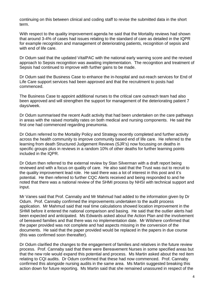continuing on this between clinical and coding staff to revise the submitted data in the short term.

With respect to the quality improvement agenda he said that the Mortality reviews had shown that around 3-4% of cases had issues relating to the standard of care as detailed in the IQPR for example recognition and management of deteriorating patients, recognition of sepsis and with end of life care.

Dr Odum said that the updated VitalPAC with the national early warning score and the revised approach to Sepsis recognition was awaiting implementation. The recognition and treatment of Sepsis had continued to improve with further gains to be made.

Dr Odum said the Business Case to enhance the in-hospital and out-reach services for End of Life Care support services had been approved and that the recruitment to posts had commenced.

The Business Case to appoint additional nurses to the critical care outreach team had also been approved and will strengthen the support for management of the deteriorating patient 7 days/week.

Dr Odum summarised the recent Audit activity that had been undertaken on the care pathways in areas with the raised mortality rates on both medical and nursing components. He said the first one had commenced regarding pneumonia.

Dr Odum referred to the Mortality Policy and Strategy recently completed and further activity across the health community to improve community based end of life care. He referred to the learning from death Structured Judgement Reviews (SJR's) now focussing on deaths in specific groups plus in reviews in a random 10% of other deaths for further learning points included in the IQPR.

Dr Odum then referred to the external review by Stan Silverman with a draft report being reviewed and with a focus on quality of care. He also said that the Trust was out to recruit to the quality improvement lead role. He said there was a lot of interest in this post and it's potential. He then referred to further CQC Alerts received and being responded to and he noted that there was a national review of the SHMI process by NHSI with technical support and input.

Mr Vanes said that Prof. Cannaby and Mr Mahmud had added to the information given by Dr Odum. Prof. Cannaby confirmed the improvements undertaken to the audit process application. Mr Mahmud said that real time calculations showed location improvement in the SHMI before it entered the national comparison and basing. He said that the outlier alerts had been expected and anticipated. Ms Edwards asked about the Action Plan and the involvement of bereaved families and that there was no implementation date. Mr Wilshere confirmed that the paper provided was not complete and had aspects missing in the conversion of the documents. He said that the paper provided would be replaced in the papers in due course (this was confirmed soon thereafter).

Dr Odum clarified the changes to the engagement of families and relatives in the future review process. Prof. Cannaby said that there were Bereavement Nurses in some specified areas but that the new role would expand this potential and process. Ms Martin asked about the red item relating to CQI audits. Dr Odum confirmed that these had now commenced. Prof. Cannaby confirmed this alongside nursing audits in the same area. Ms Martin suggested breaking this action down for future reporting. Ms Martin said that she remained unassured in respect of the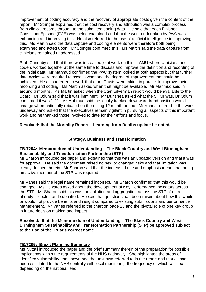improvement of coding accuracy and the recovery of appropriate costs given the content of the report. Mr Stringer explained that the cost recovery and attribution was a complex process from clinical records through to the submitted coding data. He said that each Finished Consultant Episode (FCE) was being examined and that the work undertaken by PwC was enhancing and improving this. He also referred to the use of artificial intelligence in improving this. Ms Martin said the data capture and coding elements were therefore both being examined and acted upon. Mr Stringer confirmed this. Ms Martin said the data capture from clinicians remained unaddressed.

Prof. Cannaby said that there was increased joint work on this in AMU where clinicians and coders worked together at the same time to discuss and improve the definition and recording of the initial data. Mr Mahmud confirmed the PwC system looked at both aspects but that further data cycles were required to assess what and the degree of improvement that could be achieved. He also referred to work that other Trusts were taking in parallel to improve their recording and coding. Ms Martin asked when that might be available. Mr Mahmud said in around 6 months. Ms Martin asked when the Stan Silverman report would be available to the Board. Dr Odum said that it was imminent. Mr Dunshea asked what the SHMI was. Dr Odum confirmed it was 1.22. Mr Mahmud said the locally tracked downward trend position would change when nationally rebased on the rolling 12 month period. Mr Vanes referred to the work underway and asked that the executives remain vigilant in pursuing all aspects of this important work and he thanked those involved to date for their efforts and focus.

#### **Resolved: that the Mortality Report – Learning from Deaths update be noted.**

#### **Strategy, Business and Transformation**

#### **TB.7204: Memorandum of Understanding – The Black Country and West Birmingham Sustainability and Transformation Partnership (STP)**

Mr Sharon introduced the paper and explained that this was an updated version and that it was for approval. He said the document raised no new or changed risks and that limitation was clearly defined therein. Mr Sharon said that the increased use and emphasis meant that being an active member of the STP was required.

Mr Vanes said the legal name remained incorrect. Mr Sharon confirmed that this would be changed. Ms Edwards asked about the development of Key Performance Indicators across the STP. Mr Sharon said this was the collation and aggregation across the STP of data already collected and submitted. He said that questions had been raised about how this would or would not provide benefits and insight compared to existing submissions and performance management. Mr Vanes referred to the chart on page 25 and the pivotal role of one key group in future decision making and impact.

#### **Resolved: that the Memorandum of Understanding – The Black Country and West Birmingham Sustainability and Transformation Partnership (STP) be approved subject to the use of the Trust's correct name.**

#### **TB.7205: Brexit Planning Summary**

Ms Nuttall introduced the paper and the brief summary therein of the preparation for possible implications within the requirements of the NHS nationally. She highlighted the areas of identified vulnerability, the known and the unknown referred to in the report and that all had been escalated to the NHS centrally with local monitoring, the frequency of which will flex depending on the national lead.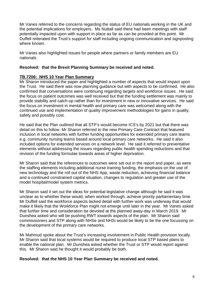Mr Vanes referred to the concerns regarding the status of EU nationals working in the UK and the potential implications for employers. Ms Nuttall said there had been meetings with staff potentially impacted upon with support in place as far as can be provided at this point. Mr Duffell reiterated the Trust's support for staff including ongoing communication and signposting where known.

Mr Vanes also highlighted issues for people where partners or family members are EU nationals.

#### **Resolved: that the Brexit Planning Summary be received and noted.**

#### **TB.7206: NHS 10 Year Plan Summary**

Mr Sharon introduced the paper and highlighted a number of aspects that would impact upon the Trust. He said there was now planning guidance but with aspects to be confirmed. He also confirmed that conversations were continuing regarding targets and workforce issues. He said the focus on patient outcomes was well received but that the funding settlement was mainly to provide stability and catch-up rather than for investment in new or innovative services. He said the focus on investment in mental health and primary care was welcomed along with the continued use and implementation of quality improvement methodologies for gains in quality, safety and possibly cost.

He said that the Plan outlined that all STP's would become ICS's by 2021 but that there was detail on this to follow. Mr Sharon referred to the new Primary Care Contract that featured inclusion in local networks with further funding opportunities for extended primary care teams e.g. community nursing teams based around local primary care networks. He said it also included options for extended services on a network level. He said it referred to preventative elements without addressing the issues regarding public health spending reductions and that revision of the funding formulae towards areas of higher deprivation.

Mr Sharon said that the references to outcomes were set out in the report and paper, as were the staffing elements including additional nurse training funding, the emphasis on the use of new technology and the roll out of the NHS App, waste reduction, achieving financial balance and a continued constrained capital situation, changes to regulation and greater use of the model hospital/model system metrics.

Mr Sharon said it set out the ideas for potential legislative change although he said it was unclear as to whether these would, when worked through, achieve priority parliamentary time. Mr Duffell said the workforce aspects lacked detail with further work was underway that would make it likely that the Workforce Plan might not emerge until later in the year. Mr Vanes asked that further time and consideration be devoted at the planned away-day in March 2019. Mr Dunshea asked who will be pushing RWT towards aspects of the plan. Mr Sharon said commissioners and STP along with NHSe and NHSi would be likely to be the one focussing on the development of the primary care networks.

Mr Mahmud spoke about the Trust's increasing involvement in Public Health provision locally. Mr Sharon said that local systems would be required to produce local STP based plans to enable the national plan. Mr Dunshea asked whether the Trust or STP would report against this. Mr Sharon said he thought it would probably be both.

#### **Resolved: that the NHS 10 Year Plan Summary be received and noted.**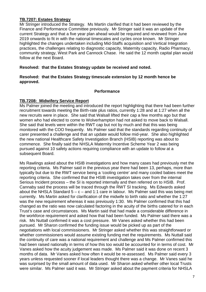#### **TB.7207: Estates Strategy**

Mr Stringer introduced the Strategy. Ms Martin clarified that it had been reviewed by the Finance and Performance Committee previously. Mr Stringer said it was an update of the current Strategy and that a five year plan ahead would be required and reviewed from June 2019 onwards to fit in with the national timescales and cycles once known. Mr Stringer highlighted the changes undertaken including Mid-Staffs acquisition and Vertical Integration practices, the challenges relating to diagnostic capacity, Maternity capacity, Radio Pharmacy, community strategy, West Park and Cannock Chase. He said the 12 month capital plan would follow at the next Board.

#### **Resolved: that the Estates Strategy update be received and noted.**

#### **Resolved: that the Estates Strategy timescale extension by 12 month hence be approved.**

#### **Performance**

#### **TB.7208: Midwifery Service Report**

Ms Palmer joined the meeting and introduced the report highlighting that there had been further recruitment towards meeting the Birth-rate plus ratios, currently 1:28 and at 1:27 when all the new recruits were in place. She said that Walsall lifted their cap a few months ago but that women who had elected to come to Wolverhampton had not asked to move back to Walsall. She said that levels were within the RWT cap but not by much and that this was being monitored with the COO frequently. Ms Palmer said that the standards regarding continuity of carer presented a challenge and that an update would follow mid-year. She also highlighted the new national Healthcare Safety Investigation Branch (HSIB) reporting was about to commence. She finally said the NHSLA Maternity Incentive Scheme Year 2 was being pursued against 10 safety actions requiring compliance with an update to follow at a subsequent Board.

Ms Rawlings asked about the HSIB investigations and how many cases had previously met the reporting criteria. Ms Palmer said in the previous year there had been 13, perhaps, more than typically but due to the RWT service being a 'cooling centre' and many cooled babies meet the reporting criteria. She confirmed that the HSIB investigation takes over from the internal Serious Incident process – the SI is reported internally and then referred on to HSIB. Prof. Cannaby said the process will be traced through the RWT SI tracking. Ms Edwards asked about the NHSLA Standard  $5 - c -$  and 1:1 care in labour. Ms Palmer said this was being met currently. Ms Martin asked for clarification of the midwife to birth ratio and whether the 1:27 was the new requirement whereas it was previously 1:30. Ms Palmer confirmed that this had changed as the ratio was now calculated factoring in the acuity of the births catered for in each Trust's case and circumstances. Ms Martin said that had made a considerable difference in the workforce requirement and asked how that had been funded. Ms Palmer said there was a risk. Ms Nuttall confirmed it was a cost pressure. Mr Vanes asked whether this had been pursued. Mr Sharon confirmed the funding issue would be picked up as part of the negotiations with local commissioners. Mr Stringer asked whether this was straightforward or whether commissioners would assume existing funding met the requirements. Ms Nuttall said the continuity of care was a national requirement and challenge and Ms Palmer confirmed this had been raised nationally in terms of how this too would be accounted for in terms of cost. Mr Vanes asked how the acuity judgement was made. Ms Palmer said it was done on recent 3 months of data. Mr Vanes asked how often it would be re-assessed. Ms Palmer said every 3 years unless requested sooner if local leaders thought there was a change. Mr Vanes said he was surprised by the small amount of data used. Mr Sharon asked whether other local Trusts were similar. Ms Palmer said it was. Mr Stringer asked about the payment criteria for NHSLA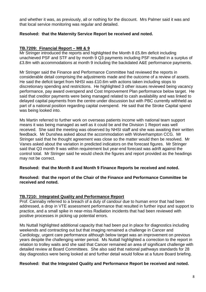and whether it was, as previously, all or nothing for the discount. Mrs Palmer said it was and that local service monitoring was regular and detailed.

#### **Resolved: that the Maternity Service Report be received and noted.**

#### **TB.7209: Financial Report – M8 & 9**

Mr Stringer introduced the reports and highlighted the Month 8 £5.8m deficit including unachieved PSF and STF and by month 9 Q3 payments including PSF resulted in a surplus of £3.8m with accommodations at month 9 including the backdated A&E performance payments.

Mr Stringer said the Finance and Performance Committee had reviewed the reports in considerable detail comprising the adjustments made and the outcome of a review of assets. He said the deficit target from NHSI was £10.6m with actions taken including stops to discretionary spending and restrictions. He highlighted 3 other issues reviewed being vacancy performance, pay award overspend and Cost Improvement Plan performance below target. He said that creditor payments were being managed related to cash availability and was linked to delayed capital payments from the centre under discussion but with PBC currently withheld as part of a national position regarding capital overspend. He said that the Stroke Capital spend was being looked into.

Ms Martin referred to further work on overseas patients income with national team support means it was being managed as well as it could be and the Division 1 Report was well received. She said the meeting was observed by NHSI staff and she was awaiting their written feedback. Mr Dunshea asked about the accommodation with Wolverhampton CCG. Mr Stringer said that he thought agreement was close so the matter would then be resolved. Mr Vanes asked about the variation in predicted indicators on the forecast figures. Mr Stringer said that Q3 month 9 was within requirement but year-end forecast was adrift against the control total. Mr Stringer said he would check the figures and report provided as the headings may not be correct.

**Resolved: that the Month 8 and Month 9 Finance Reports be received and noted.**

#### **Resolved: that the report of the Chair of the Finance and Performance Committee be received and noted.**

#### **TB.7210: Integrated Quality and Performance Report**

Prof. Cannaby referred to a breach of a duty of candour due to human error that had been addressed, a drop in VTE assessment performance that resulted in further input and support to practice, and a small spike in near-miss Radiation incidents that had been reviewed with positive processes in picking up potential errors.

Ms Nuttall highlighted additional capacity that had been put in place for diagnostics including weekends and contracting out but that imaging remained a challenge in Cancer and Cardiology, urgent care performance although below target was an improvement on previous years despite the challenging winter period. Ms Nuttall highlighted a correction to the report in relation to trolley waits and she said that Cancer remained an area of significant challenge with detailed review at Board Committees. She also said that national pathways standards for 28 day diagnostics were being looked at and further detail would follow at a future Board briefing.

#### **Resolved: that the Integrated Quality and Performance Report be received and noted.**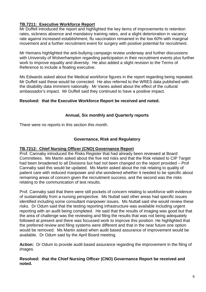### **TB.7211: Executive Workforce Report**

Mr Duffell introduced the report and highlighted the key items of improvements to retention rates, sickness absence and mandatory training rates, and a slight deterioration in vacancy rate against increased establishment, flu vaccination remained in the low 60% with marginal movement and a further recruitment event for surgery with positive potential for recruitment.

Mr Hemans highlighted the anti-bullying campaign review underway and further discussions with University of Wolverhampton regarding participation in their recruitment events plus further work to improve equality and diversity. He also added a slight revision to the Terms of Reference to include a floating executive.

Ms Edwards asked about the Medical workforce figures in the report regarding being repeated. Mr Duffell said these would be corrected. He also referred to the WRES data published with the disability data imminent nationally. Mr Vanes asked about the effect of the cultural ambassador's impact. Mr Duffell said they continued to have a positive impact.

#### **Resolved: that the Executive Workforce Report be received and noted.**

#### **Annual, Six monthly and Quarterly reports**

There were no reports in this section this month.

#### **Governance, Risk and Regulatory**

#### **TB.7212: Chief Nursing Officer (CNO) Governance Report**

Prof. Cannaby introduced the Risks Register that had already been reviewed at Board Committees. Ms Martin asked about the five red risks and that the Risk related to CIP Target had been broadened to all Divisions but had not been changed on the report provided – Prof Cannaby said this would be updated. Ms Martin asked about the risk relating to quality of patient care with reduced manpower and she wondered whether it needed to be specific about remaining areas of concern given the recruitment success, and the second was the risks relating to the communication of test results.

Prof. Cannaby said that there were still pockets of concern relating to workforce with evidence of sustainability from a nursing perspective. Ms Nuttall said other areas had specific issues identified including some consultant manpower issues. Ms Nuttall said she would review these risks. Dr Odum said that the testing reporting infrastructure was available including urgent reporting with an audit being completed. He said that the results of imaging was good but that the area of challenge was the reviewing and filing the results that was not being adequately followed at present and there was focussed work to improve this position. He highlighted that the preferred review and filing systems were different and that in the near future one option would be removed. Ms Martin asked when audit based assurance of improvement would be available. Dr Odum said by the April Board meeting.

**Action:** Dr Odum to provide audit based assurance regarding the improvement in the filing of images.

#### **Resolved: that the Chief Nursing Officer (CNO) Governance Report be received and noted.**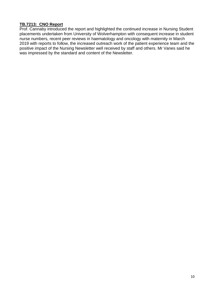#### **TB.7213: CNO Report**

Prof. Cannaby introduced the report and highlighted the continued increase in Nursing Student placements undertaken from University of Wolverhampton with consequent increase in student nurse numbers, recent peer reviews in haematology and oncology with maternity in March 2019 with reports to follow, the increased outreach work of the patient experience team and the positive impact of the Nursing Newsletter well received by staff and others. Mr Vanes said he was impressed by the standard and content of the Newsletter.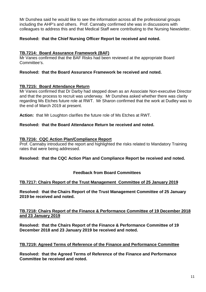Mr Dunshea said he would like to see the information across all the professional groups including the AHP's and others. Prof. Cannaby confirmed she was in discussions with colleagues to address this and that Medical Staff were contributing to the Nursing Newsletter.

#### **Resolved: that the Chief Nursing Officer Report be received and noted.**

#### **TB.7214: Board Assurance Framework (BAF)**

Mr Vanes confirmed that the BAF Risks had been reviewed at the appropriate Board Committee's.

#### **Resolved: that the Board Assurance Framework be received and noted.**

#### **TB.7215: Board Attendance Return**

Mr Vanes confirmed that Dr Darby had stepped down as an Associate Non-executive Director and that the process to recruit was underway. Mr Dunshea asked whether there was clarity regarding Ms Etches future role at RWT. Mr Sharon confirmed that the work at Dudley was to the end of March 2019 at present.

**Action:** that Mr Loughton clarifies the future role of Ms Etches at RWT.

#### **Resolved: that the Board Attendance Return be received and noted.**

#### **TB.7216: CQC Action Plan/Compliance Report**

Prof. Cannaby introduced the report and highlighted the risks related to Mandatory Training rates that were being addressed.

#### **Resolved: that the CQC Action Plan and Compliance Report be received and noted.**

#### **Feedback from Board Committees**

#### **TB.7217: Chairs Report of the Trust Management Committee of 25 January 2019**

**Resolved: that the Chairs Report of the Trust Management Committee of 25 January 2019 be received and noted.**

#### **TB.7218: Chairs Report of the Finance & Performance Committee of 19 December 2018 and 23 January 2019**

**Resolved: that the Chairs Report of the Finance & Performance Committee of 19 December 2018 and 23 January 2019 be received and noted.**

#### **TB.7219: Agreed Terms of Reference of the Finance and Performance Committee**

**Resolved: that the Agreed Terms of Reference of the Finance and Performance Committee be received and noted.**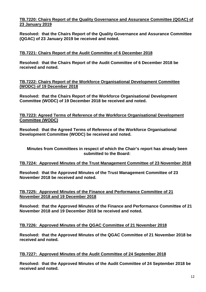#### **TB.7220: Chairs Report of the Quality Governance and Assurance Committee (QGAC) of 23 January 2019**

**Resolved: that the Chairs Report of the Quality Governance and Assurance Committee (QGAC) of 23 January 2019 be received and noted.**

#### **TB.7221: Chairs Report of the Audit Committee of 6 December 2018**

**Resolved: that the Chairs Report of the Audit Committee of 6 December 2018 be received and noted.**

**TB.7222: Chairs Report of the Workforce Organisational Development Committee (WODC) of 19 December 2018**

**Resolved: that the Chairs Report of the Workforce Organisational Development Committee (WODC) of 19 December 2018 be received and noted.**

**TB.7223: Agreed Terms of Reference of the Workforce Organisational Development Committee (WODC)**

**Resolved: that the Agreed Terms of Reference of the Workforce Organisational Development Committee (WODC) be received and noted.**

**Minutes from Committees in respect of which the Chair's report has already been submitted to the Board:**

#### **TB.7224: Approved Minutes of the Trust Management Committee of 23 November 2018**

**Resolved: that the Approved Minutes of the Trust Management Committee of 23 November 2018 be received and noted.**

#### **TB.7225: Approved Minutes of the Finance and Performance Committee of 21 November 2018 and 19 December 2018**

**Resolved: that the Approved Minutes of the Finance and Performance Committee of 21 November 2018 and 19 December 2018 be received and noted.**

#### **TB.7226: Approved Minutes of the QGAC Committee of 21 November 2018**

**Resolved: that the Approved Minutes of the QGAC Committee of 21 November 2018 be received and noted.**

#### **TB.7227: Approved Minutes of the Audit Committee of 24 September 2018**

**Resolved: that the Approved Minutes of the Audit Committee of 24 September 2018 be received and noted.**